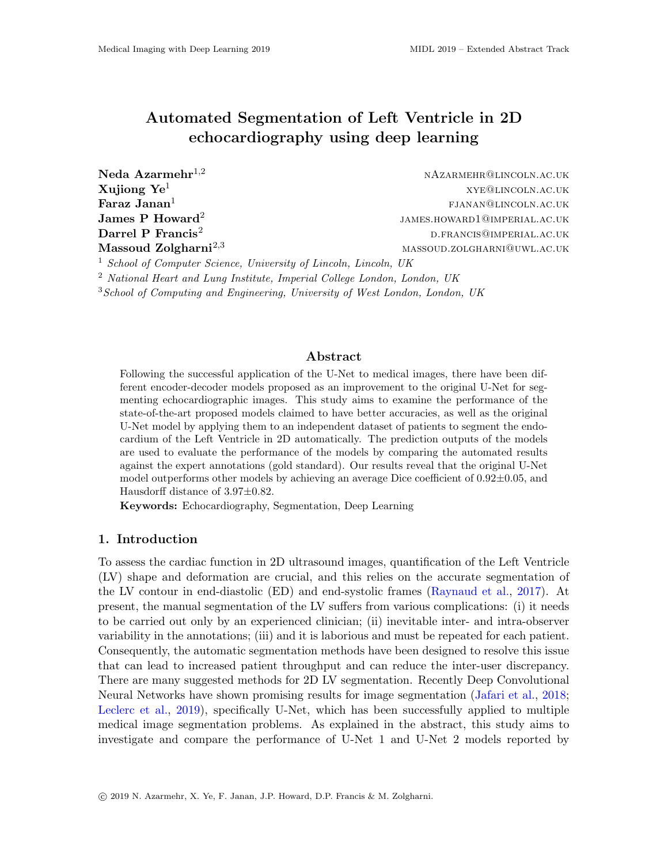# Automated Segmentation of Left Ventricle in 2D echocardiography using deep learning

| Neda Azarmehr $^{1,2}$                                                      | NAZARMEHR@LINCOLN.AC.UK      |
|-----------------------------------------------------------------------------|------------------------------|
| Xujiong $\mathrm{Ye}^1$                                                     | XYE@LINCOLN.AC.UK            |
| ${\rm Faraz\ Janan^1}$                                                      | FJANAN@LINCOLN.AC.UK         |
| James P Howard $^2$                                                         | JAMES.HOWARD1@IMPERIAL.AC.UK |
| $\rm{Darrel}$ $\rm{P}$ $\rm{Francis^2}$                                     | D.FRANCIS@IMPERIAL.AC.UK     |
| $\rm Massoud\ Zolgharni^{2,3}$                                              | MASSOUD.ZOLGHARNI@UWL.AC.UK  |
| <sup>1</sup> School of Computer Science, University of Lincoln, Lincoln, UK |                              |

<sup>2</sup> National Heart and Lung Institute, Imperial College London, London, UK

 $3$ School of Computing and Engineering, University of West London, London, UK

### Abstract

Following the successful application of the U-Net to medical images, there have been different encoder-decoder models proposed as an improvement to the original U-Net for segmenting echocardiographic images. This study aims to examine the performance of the state-of-the-art proposed models claimed to have better accuracies, as well as the original U-Net model by applying them to an independent dataset of patients to segment the endocardium of the Left Ventricle in 2D automatically. The prediction outputs of the models are used to evaluate the performance of the models by comparing the automated results against the expert annotations (gold standard). Our results reveal that the original U-Net model outperforms other models by achieving an average Dice coefficient of  $0.92 \pm 0.05$ , and Hausdorff distance of 3.97±0.82.

Keywords: Echocardiography, Segmentation, Deep Learning

## 1. Introduction

To assess the cardiac function in 2D ultrasound images, quantification of the Left Ventricle (LV) shape and deformation are crucial, and this relies on the accurate segmentation of the LV contour in end-diastolic (ED) and end-systolic frames [\(Raynaud et al.,](#page-3-0) [2017\)](#page-3-0). At present, the manual segmentation of the LV suffers from various complications: (i) it needs to be carried out only by an experienced clinician; (ii) inevitable inter- and intra-observer variability in the annotations; (iii) and it is laborious and must be repeated for each patient. Consequently, the automatic segmentation methods have been designed to resolve this issue that can lead to increased patient throughput and can reduce the inter-user discrepancy. There are many suggested methods for 2D LV segmentation. Recently Deep Convolutional Neural Networks have shown promising results for image segmentation [\(Jafari et al.,](#page-3-1) [2018;](#page-3-1) [Leclerc et al.,](#page-3-2) [2019\)](#page-3-2), specifically U-Net, which has been successfully applied to multiple medical image segmentation problems. As explained in the abstract, this study aims to investigate and compare the performance of U-Net 1 and U-Net 2 models reported by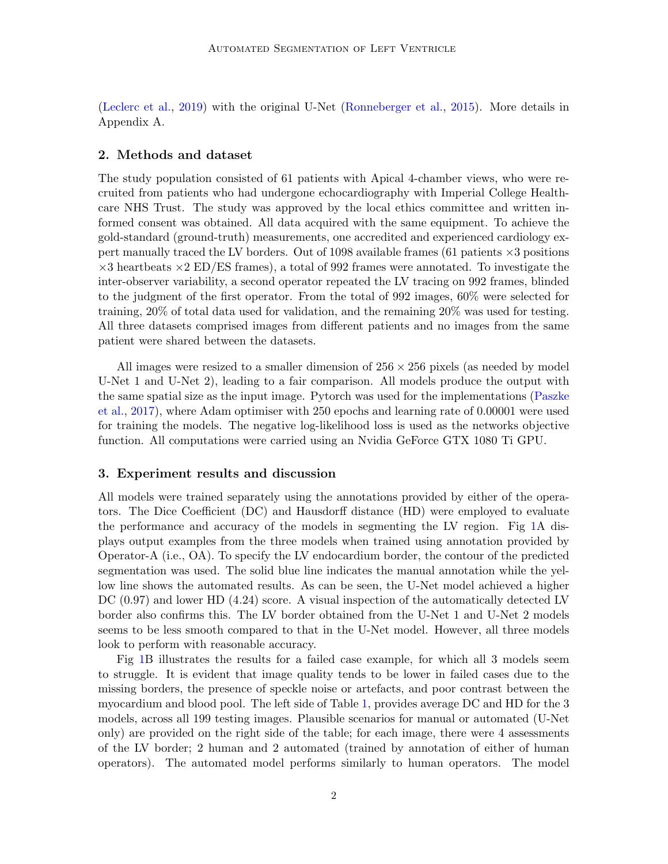[\(Leclerc et al.,](#page-3-2) [2019\)](#page-3-2) with the original U-Net [\(Ronneberger et al.,](#page-3-3) [2015\)](#page-3-3). More details in Appendix A.

### 2. Methods and dataset

The study population consisted of 61 patients with Apical 4-chamber views, who were recruited from patients who had undergone echocardiography with Imperial College Healthcare NHS Trust. The study was approved by the local ethics committee and written informed consent was obtained. All data acquired with the same equipment. To achieve the gold-standard (ground-truth) measurements, one accredited and experienced cardiology expert manually traced the LV borders. Out of 1098 available frames (61 patients  $\times$ 3 positions  $\times$ 3 heartbeats  $\times$ 2 ED/ES frames), a total of 992 frames were annotated. To investigate the inter-observer variability, a second operator repeated the LV tracing on 992 frames, blinded to the judgment of the first operator. From the total of 992 images, 60% were selected for training, 20% of total data used for validation, and the remaining 20% was used for testing. All three datasets comprised images from different patients and no images from the same patient were shared between the datasets.

All images were resized to a smaller dimension of  $256 \times 256$  pixels (as needed by model U-Net 1 and U-Net 2), leading to a fair comparison. All models produce the output with the same spatial size as the input image. Pytorch was used for the implementations [\(Paszke](#page-3-4) [et al.,](#page-3-4) [2017\)](#page-3-4), where Adam optimiser with 250 epochs and learning rate of 0.00001 were used for training the models. The negative log-likelihood loss is used as the networks objective function. All computations were carried using an Nvidia GeForce GTX 1080 Ti GPU.

## 3. Experiment results and discussion

All models were trained separately using the annotations provided by either of the operators. The Dice Coefficient (DC) and Hausdorff distance (HD) were employed to evaluate the performance and accuracy of the models in segmenting the LV region. Fig [1A](#page-2-0) displays output examples from the three models when trained using annotation provided by Operator-A (i.e., OA). To specify the LV endocardium border, the contour of the predicted segmentation was used. The solid blue line indicates the manual annotation while the yellow line shows the automated results. As can be seen, the U-Net model achieved a higher DC  $(0.97)$  and lower HD  $(4.24)$  score. A visual inspection of the automatically detected LV border also confirms this. The LV border obtained from the U-Net 1 and U-Net 2 models seems to be less smooth compared to that in the U-Net model. However, all three models look to perform with reasonable accuracy.

Fig [1B](#page-2-0) illustrates the results for a failed case example, for which all 3 models seem to struggle. It is evident that image quality tends to be lower in failed cases due to the missing borders, the presence of speckle noise or artefacts, and poor contrast between the myocardium and blood pool. The left side of Table [1,](#page-2-1) provides average DC and HD for the 3 models, across all 199 testing images. Plausible scenarios for manual or automated (U-Net only) are provided on the right side of the table; for each image, there were 4 assessments of the LV border; 2 human and 2 automated (trained by annotation of either of human operators). The automated model performs similarly to human operators. The model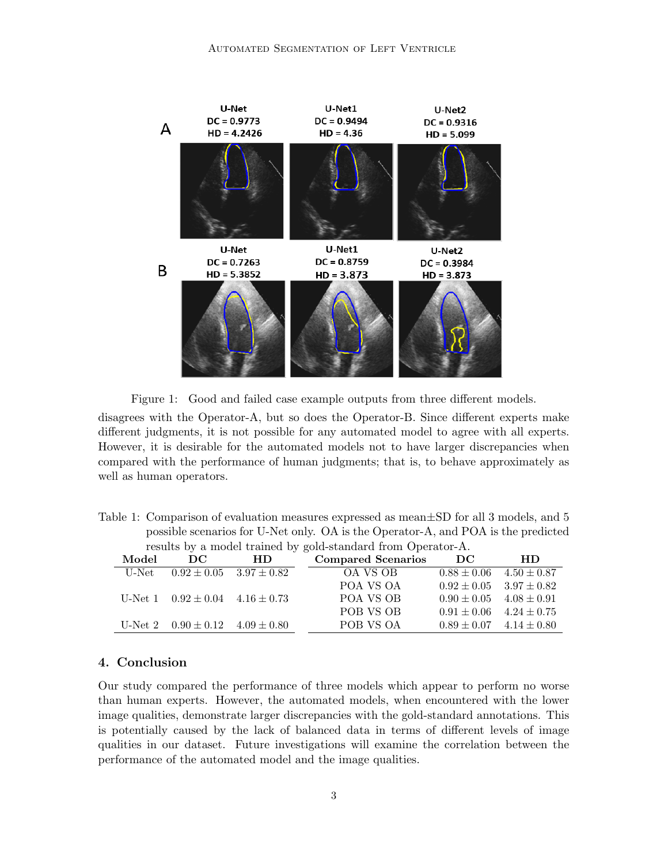

<span id="page-2-0"></span>Figure 1: Good and failed case example outputs from three different models.

disagrees with the Operator-A, but so does the Operator-B. Since different experts make different judgments, it is not possible for any automated model to agree with all experts. However, it is desirable for the automated models not to have larger discrepancies when compared with the performance of human judgments; that is, to behave approximately as well as human operators.

<span id="page-2-1"></span>Table 1: Comparison of evaluation measures expressed as mean±SD for all 3 models, and 5 possible scenarios for U-Net only. OA is the Operator-A, and POA is the predicted results by a model trained by gold-standard from Operator-A.

| Model | DC                                        | HD                              | <b>Compared Scenarios</b> | DC                              | HD                              |
|-------|-------------------------------------------|---------------------------------|---------------------------|---------------------------------|---------------------------------|
| U-Net |                                           | $0.92 \pm 0.05$ $3.97 \pm 0.82$ | OA VS OB                  |                                 | $0.88 \pm 0.06$ $4.50 \pm 0.87$ |
|       |                                           |                                 | POA VS OA                 |                                 | $0.92 \pm 0.05$ $3.97 \pm 0.82$ |
|       | U-Net $1$ $0.92 \pm 0.04$ $4.16 \pm 0.73$ |                                 | POA VS OB                 | $0.90 \pm 0.05$ $4.08 \pm 0.91$ |                                 |
|       |                                           |                                 | POB VS OB                 |                                 | $0.91 \pm 0.06$ $4.24 \pm 0.75$ |
|       | U-Net 2 $0.90 \pm 0.12$ $4.09 \pm 0.80$   |                                 | POB VS OA                 |                                 | $0.89 \pm 0.07$ $4.14 \pm 0.80$ |

### 4. Conclusion

Our study compared the performance of three models which appear to perform no worse than human experts. However, the automated models, when encountered with the lower image qualities, demonstrate larger discrepancies with the gold-standard annotations. This is potentially caused by the lack of balanced data in terms of different levels of image qualities in our dataset. Future investigations will examine the correlation between the performance of the automated model and the image qualities.